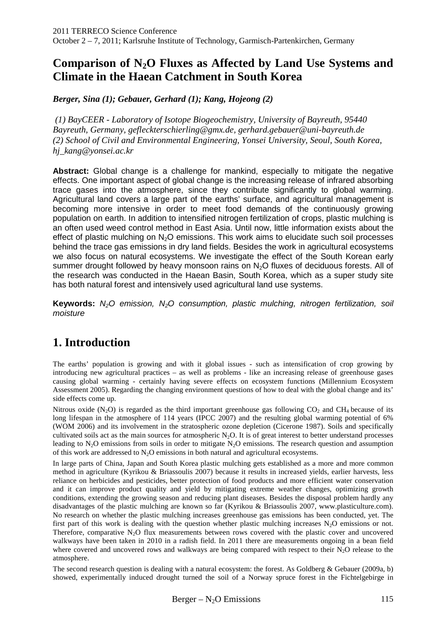# **Comparison of N2O Fluxes as Affected by Land Use Systems and Climate in the Haean Catchment in South Korea**

*Berger, Sina (1); Gebauer, Gerhard (1); Kang, Hojeong (2)* 

 *(1) BayCEER - Laboratory of Isotope Biogeochemistry, University of Bayreuth, 95440 Bayreuth, Germany, gefleckterschierling@gmx.de, gerhard.gebauer@uni-bayreuth.de (2) School of Civil and Environmental Engineering, Yonsei University, Seoul, South Korea, hj\_kang@yonsei.ac.kr* 

Abstract: Global change is a challenge for mankind, especially to mitigate the negative effects. One important aspect of global change is the increasing release of infrared absorbing trace gases into the atmosphere, since they contribute significantly to global warming. Agricultural land covers a large part of the earths' surface, and agricultural management is becoming more intensive in order to meet food demands of the continuously growing population on earth. In addition to intensified nitrogen fertilization of crops, plastic mulching is an often used weed control method in East Asia. Until now, little information exists about the effect of plastic mulching on  $N_2O$  emissions. This work aims to elucidate such soil processes behind the trace gas emissions in dry land fields. Besides the work in agricultural ecosystems we also focus on natural ecosystems. We investigate the effect of the South Korean early summer drought followed by heavy monsoon rains on  $N<sub>2</sub>O$  fluxes of deciduous forests. All of the research was conducted in the Haean Basin, South Korea, which as a super study site has both natural forest and intensively used agricultural land use systems.

**Keywords:** N<sub>2</sub>O emission, N<sub>2</sub>O consumption, plastic mulching, nitrogen fertilization, soil moisture

# **1. Introduction**

The earths' population is growing and with it global issues - such as intensification of crop growing by introducing new agricultural practices – as well as problems - like an increasing release of greenhouse gases causing global warming - certainly having severe effects on ecosystem functions (Millennium Ecosystem Assessment 2005). Regarding the changing environment questions of how to deal with the global change and its' side effects come up.

Nitrous oxide  $(N_2O)$  is regarded as the third important greenhouse gas following  $CO_2$  and CH<sub>4</sub> because of its long lifespan in the atmosphere of 114 years (IPCC 2007) and the resulting global warming potential of 6% (WOM 2006) and its involvement in the stratospheric ozone depletion (Cicerone 1987). Soils and specifically cultivated soils act as the main sources for atmospheric  $N<sub>2</sub>O$ . It is of great interest to better understand processes leading to  $N<sub>2</sub>O$  emissions from soils in order to mitigate  $N<sub>2</sub>O$  emissions. The research question and assumption of this work are addressed to  $N<sub>2</sub>O$  emissions in both natural and agricultural ecosystems.

In large parts of China, Japan and South Korea plastic mulching gets established as a more and more common method in agriculture (Kyrikou & Briassoulis 2007) because it results in increased yields, earlier harvests, less reliance on herbicides and pesticides, better protection of food products and more efficient water conservation and it can improve product quality and yield by mitigating extreme weather changes, optimizing growth conditions, extending the growing season and reducing plant diseases. Besides the disposal problem hardly any disadvantages of the plastic mulching are known so far (Kyrikou & Briassoulis 2007, www.plasticulture.com). No research on whether the plastic mulching increases greenhouse gas emissions has been conducted, yet. The first part of this work is dealing with the question whether plastic mulching increases  $N<sub>2</sub>O$  emissions or not. Therefore, comparative N<sub>2</sub>O flux measurements between rows covered with the plastic cover and uncovered walkways have been taken in 2010 in a radish field. In 2011 there are measurements ongoing in a bean field where covered and uncovered rows and walkways are being compared with respect to their  $N<sub>2</sub>O$  release to the atmosphere.

The second research question is dealing with a natural ecosystem: the forest. As Goldberg & Gebauer (2009a, b) showed, experimentally induced drought turned the soil of a Norway spruce forest in the Fichtelgebirge in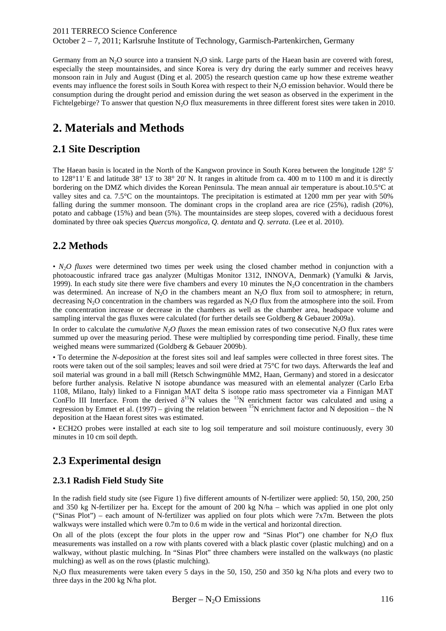2011 TERRECO Science Conference

October 2 – 7, 2011; Karlsruhe Institute of Technology, Garmisch-Partenkirchen, Germany

Germany from an  $N_2O$  source into a transient  $N_2O$  sink. Large parts of the Haean basin are covered with forest, especially the steep mountainsides, and since Korea is very dry during the early summer and receives heavy monsoon rain in July and August (Ding et al. 2005) the research question came up how these extreme weather events may influence the forest soils in South Korea with respect to their N<sub>2</sub>O emission behavior. Would there be consumption during the drought period and emission during the wet season as observed in the experiment in the Fichtelgebirge? To answer that question  $N_2O$  flux measurements in three different forest sites were taken in 2010.

# **2. Materials and Methods**

### **2.1 Site Description**

The Haean basin is located in the North of the Kangwon province in South Korea between the longitude 128° 5' to 128°11' E and latitude 38° 13' to 38° 20' N. It ranges in altitude from ca. 400 m to 1100 m and it is directly bordering on the DMZ which divides the Korean Peninsula. The mean annual air temperature is about.10.5°C at valley sites and ca. 7.5°C on the mountaintops. The precipitation is estimated at 1200 mm per year with 50% falling during the summer monsoon. The dominant crops in the cropland area are rice (25%), radish (20%), potato and cabbage (15%) and bean (5%). The mountainsides are steep slopes, covered with a deciduous forest dominated by three oak species *Quercus mongolica*, *Q. dentata* and *Q. serrata*. (Lee et al. 2010).

### **2.2 Methods**

• *N<sub>2</sub>O* fluxes were determined two times per week using the closed chamber method in conjunction with a photoacoustic infrared trace gas analyzer (Multigas Monitor 1312, INNOVA, Denmark) (Yamulki & Jarvis, 1999). In each study site there were five chambers and every 10 minutes the  $N<sub>2</sub>O$  concentration in the chambers was determined. An increase of  $N_2O$  in the chambers meant an  $N_2O$  flux from soil to atmosphere; in return, decreasing N<sub>2</sub>O concentration in the chambers was regarded as N<sub>2</sub>O flux from the atmosphere into the soil. From the concentration increase or decrease in the chambers as well as the chamber area, headspace volume and sampling interval the gas fluxes were calculated (for further details see Goldberg & Gebauer 2009a).

In order to calculate the *cumulative N<sub>2</sub>O fluxes* the mean emission rates of two consecutive N<sub>2</sub>O flux rates were summed up over the measuring period. These were multiplied by corresponding time period. Finally, these time weighed means were summarized (Goldberg & Gebauer 2009b).

• To determine the *N-deposition* at the forest sites soil and leaf samples were collected in three forest sites. The roots were taken out of the soil samples; leaves and soil were dried at 75°C for two days. Afterwards the leaf and soil material was ground in a ball mill (Retsch Schwingmühle MM2, Haan, Germany) and stored in a desiccator before further analysis. Relative N isotope abundance was measured with an elemental analyzer (Carlo Erba 1108, Milano, Italy) linked to a Finnigan MAT delta S isotope ratio mass spectrometer via a Finnigan MAT ConFlo III Interface. From the derived  $\delta^{15}N$  values the  $^{15}N$  enrichment factor was calculated and using a regression by Emmet et al. (1997) – giving the relation between <sup>15</sup>N enrichment factor and N deposition – the N deposition at the Haean forest sites was estimated.

• ECH2O probes were installed at each site to log soil temperature and soil moisture continuously, every 30 minutes in 10 cm soil depth.

## **2.3 Experimental design**

### **2.3.1 Radish Field Study Site**

In the radish field study site (see Figure 1) five different amounts of N-fertilizer were applied: 50, 150, 200, 250 and 350 kg N-fertilizer per ha. Except for the amount of 200 kg N/ha – which was applied in one plot only ("Sinas Plot") – each amount of N-fertilizer was applied on four plots which were  $7x\overline{7}m$ . Between the plots walkways were installed which were  $0.7$ m to  $0.6$  m wide in the vertical and horizontal direction.

On all of the plots (except the four plots in the upper row and "Sinas Plot") one chamber for  $N_2O$  flux measurements was installed on a row with plants covered with a black plastic cover (plastic mulching) and on a walkway, without plastic mulching. In "Sinas Plot" three chambers were installed on the walkways (no plastic mulching) as well as on the rows (plastic mulching).

N<sub>2</sub>O flux measurements were taken every 5 days in the 50, 150, 250 and 350 kg N/ha plots and every two to three days in the 200 kg N/ha plot.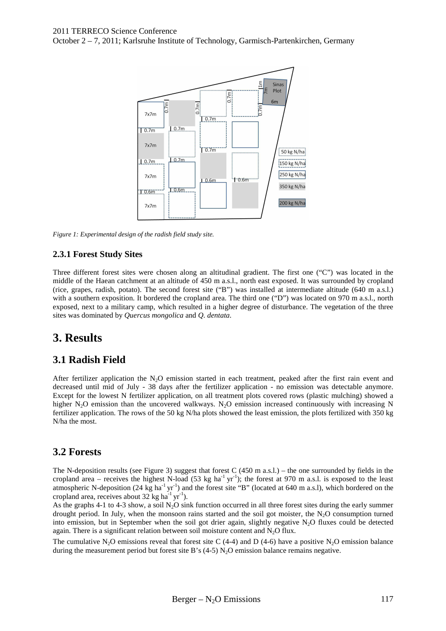October 2 – 7, 2011; Karlsruhe Institute of Technology, Garmisch-Partenkirchen, Germany



*Figure 1: Experimental design of the radish field study site.* 

### **2.3.1 Forest Study Sites**

Three different forest sites were chosen along an altitudinal gradient. The first one ("C") was located in the middle of the Haean catchment at an altitude of 450 m a.s.l., north east exposed. It was surrounded by cropland (rice, grapes, radish, potato). The second forest site ("B") was installed at intermediate altitude (640 m a.s.l.) with a southern exposition. It bordered the cropland area. The third one ("D") was located on 970 m a.s.l., north exposed, next to a military camp, which resulted in a higher degree of disturbance. The vegetation of the three sites was dominated by *Quercus mongolica* and *Q. dentata*.

## **3. Results**

## **3.1 Radish Field**

After fertilizer application the N<sub>2</sub>O emission started in each treatment, peaked after the first rain event and decreased until mid of July - 38 days after the fertilizer application - no emission was detectable anymore. Except for the lowest N fertilizer application, on all treatment plots covered rows (plastic mulching) showed a higher N<sub>2</sub>O emission than the uncovered walkways. N<sub>2</sub>O emission increased continuously with increasing N fertilizer application. The rows of the 50 kg N/ha plots showed the least emission, the plots fertilized with 350 kg N/ha the most.

## **3.2 Forests**

The N-deposition results (see Figure 3) suggest that forest C (450 m a.s.l.) – the one surrounded by fields in the cropland area – receives the highest N-load (53 kg ha<sup>-1</sup> yr<sup>-1</sup>); the forest at 970 m a.s.l. is exposed to the least atmospheric N-deposition (24 kg ha<sup>-1</sup> yr<sup>-1</sup>) and the forest site "B" (located at 640 m a.s.l), which bordered on the cropland area, receives about  $32 \text{ kg ha}^{-1} \text{ yr}^{-1}$ ).

As the graphs 4-1 to 4-3 show, a soil N<sub>2</sub>O sink function occurred in all three forest sites during the early summer drought period. In July, when the monsoon rains started and the soil got moister, the  $N<sub>2</sub>O$  consumption turned into emission, but in September when the soil got drier again, slightly negative  $N_2O$  fluxes could be detected again. There is a significant relation between soil moisture content and  $N<sub>2</sub>O$  flux.

The cumulative N<sub>2</sub>O emissions reveal that forest site C (4-4) and D (4-6) have a positive N<sub>2</sub>O emission balance during the measurement period but forest site B's  $(4-5)$  N<sub>2</sub>O emission balance remains negative.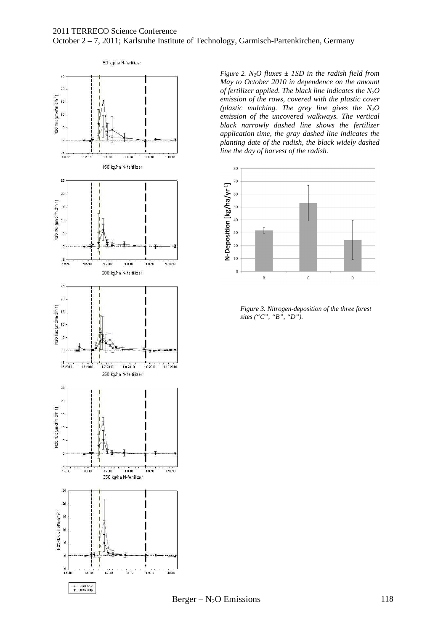#### 2011 TERRECO Science Conference October 2 – 7, 2011; Karlsruhe Institute of Technology, Garmisch-Partenkirchen, Germany



*Figure 2.*  $N_2O$  *fluxes*  $\pm$  *1SD in the radish field from May to October 2010 in dependence on the amount of fertilizer applied. The black line indicates the N2O emission of the rows, covered with the plastic cover (plastic mulching. The grey line gives the N2O emission of the uncovered walkways. The vertical black narrowly dashed line shows the fertilizer application time, the gray dashed line indicates the planting date of the radish, the black widely dashed line the day of harvest of the radish.* 



*Figure 3. Nitrogen-deposition of the three forest sites ("C", "B", "D").*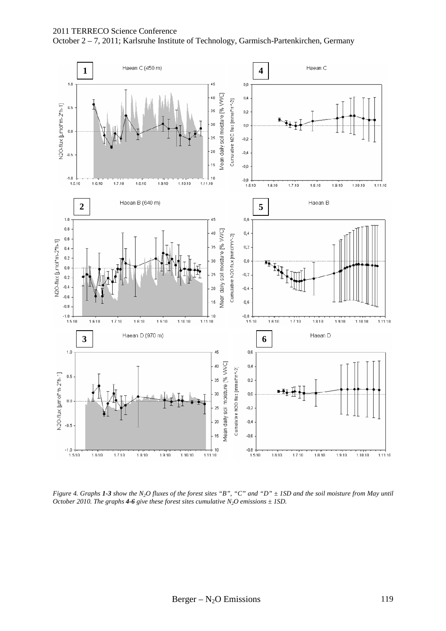

*Figure 4. Graphs 1-3 show the N2O fluxes of the forest sites "B", "C" and "D" ± 1SD and the soil moisture from May until October 2010. The graphs 4-6 give these forest sites cumulative*  $N_2O$  *emissions*  $\pm$  *ISD.*